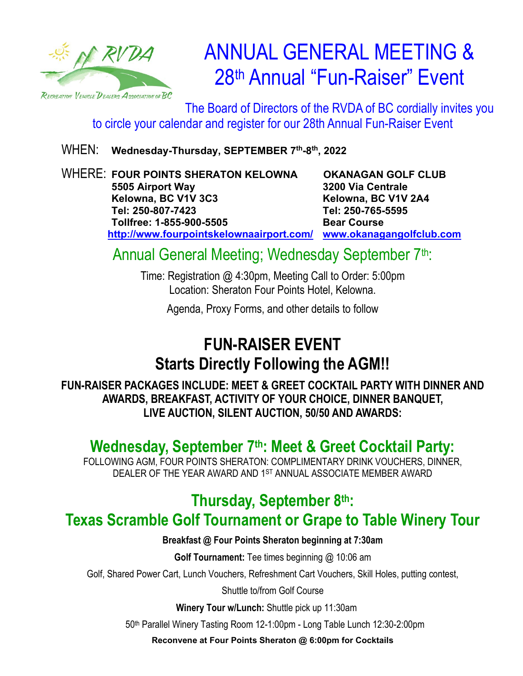

# ANNUAL GENERAL MEETING & 28th Annual "Fun-Raiser" Event

The Board of Directors of the RVDA of BC cordially invites you to circle your calendar and register for our 28th Annual Fun-Raiser Event

WHEN: Wednesday-Thursday, SEPTEMBER 7<sup>th</sup>-8<sup>th</sup>, 2022

WHERE: **FOUR POINTS SHERATON KELOWNA OKANAGAN GOLF CLUB 5505 Airport Way 3200 Via Centrale Kelowna, BC V1V 3C3 Kelowna, BC V1V 2A4 Tel: 250-807-7423 Tel: 250-765-5595 Tollfree: 1-855-900-5505 Bear Course <http://www.fourpointskelownaairport.com/> www.okanagangolfclub.com**

Annual General Meeting; Wednesday September 7<sup>th</sup>:

Time: Registration @ 4:30pm, Meeting Call to Order: 5:00pm Location: Sheraton Four Points Hotel, Kelowna.

Agenda, Proxy Forms, and other details to follow

## **FUN-RAISER EVENT Starts Directly Following the AGM!!**

**FUN-RAISER PACKAGES INCLUDE: MEET & GREET COCKTAIL PARTY WITH DINNER AND AWARDS, BREAKFAST, ACTIVITY OF YOUR CHOICE, DINNER BANQUET, LIVE AUCTION, SILENT AUCTION, 50/50 AND AWARDS:**

### Wednesday, September 7<sup>th</sup>: Meet & Greet Cocktail Party:

FOLLOWING AGM, FOUR POINTS SHERATON: COMPLIMENTARY DRINK VOUCHERS, DINNER, DEALER OF THE YEAR AWARD AND 1ST ANNUAL ASSOCIATE MEMBER AWARD

## **Thursday, September 8th: Texas Scramble Golf Tournament or Grape to Table Winery Tour**

**Breakfast @ Four Points Sheraton beginning at 7:30am**

**Golf Tournament:** Tee times beginning @ 10:06 am

Golf, Shared Power Cart, Lunch Vouchers, Refreshment Cart Vouchers, Skill Holes, putting contest,

Shuttle to/from Golf Course

 **Winery Tour w/Lunch:** Shuttle pick up 11:30am

50th Parallel Winery Tasting Room 12-1:00pm - Long Table Lunch 12:30-2:00pm

**Reconvene at Four Points Sheraton @ 6:00pm for Cocktails**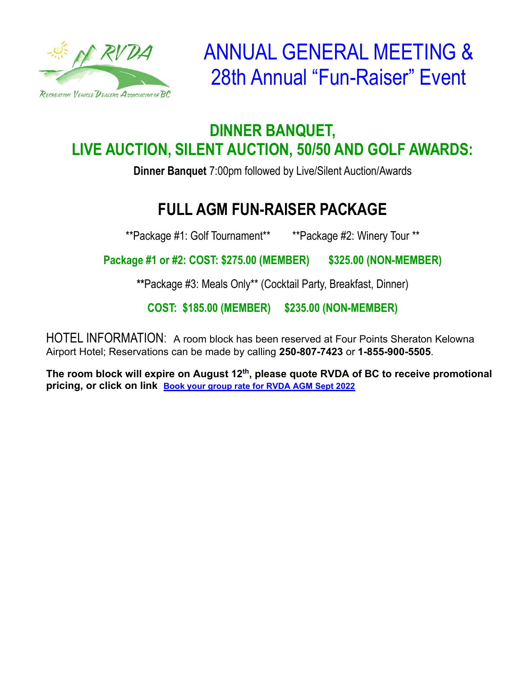

ANNUAL GENERAL MEETING & 28th Annual "Fun-Raiser" Event

#### **DINNER BANQUET, LIVE AUCTION, SILENT AUCTION, 50/50 AND GOLF AWARDS:**

**Dinner Banquet** 7:00pm followed by Live/Silent Auction/Awards

# **FULL AGM FUN-RAISER PACKAGE**

\*\*Package #1: Golf Tournament\*\* \*\*Package #2: Winery Tour \*\*

 **Package #1 or #2: COST: \$275.00 (MEMBER) \$325.00 (NON-MEMBER)**

**\*\***Package #3: Meals Only\*\* (Cocktail Party, Breakfast, Dinner)

**COST: \$185.00 (MEMBER) \$235.00 (NON-MEMBER)**

HOTEL INFORMATION: A room block has been reserved at Four Points Sheraton Kelowna Airport Hotel; Reservations can be made by calling **250-807-7423** or **1-855-900-5505**.

The room block will expire on August 12<sup>th</sup>, please quote RVDA of BC to receive promotional **pricing, or click on link [Book your group rate for RVDA AGM Sept 2022](https://www.marriott.com/events/start.mi?id=1650920212537&key=GRP)**